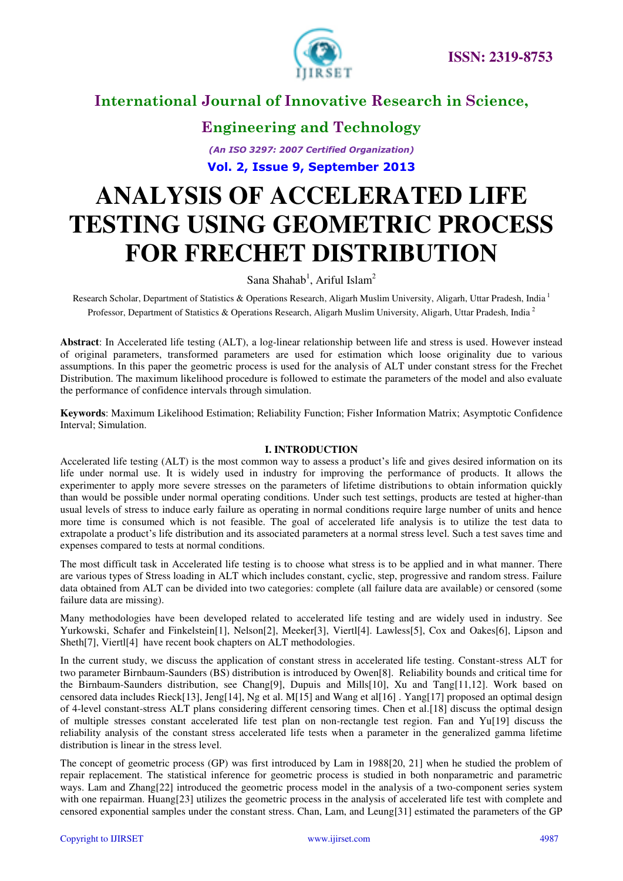

### **Engineering and Technology**

*(An ISO 3297: 2007 Certified Organization)*  **Vol. 2, Issue 9, September 2013**

# **ANALYSIS OF ACCELERATED LIFE TESTING USING GEOMETRIC PROCESS FOR FRECHET DISTRIBUTION**

Sana Shahab<sup>1</sup>, Ariful Islam<sup>2</sup>

Research Scholar, Department of Statistics & Operations Research, Aligarh Muslim University, Aligarh, Uttar Pradesh, India<sup>1</sup> Professor, Department of Statistics & Operations Research, Aligarh Muslim University, Aligarh, Uttar Pradesh, India<sup>2</sup>

**Abstract**: In Accelerated life testing (ALT), a log-linear relationship between life and stress is used. However instead of original parameters, transformed parameters are used for estimation which loose originality due to various assumptions. In this paper the geometric process is used for the analysis of ALT under constant stress for the Frechet Distribution. The maximum likelihood procedure is followed to estimate the parameters of the model and also evaluate the performance of confidence intervals through simulation.

**Keywords**: Maximum Likelihood Estimation; Reliability Function; Fisher Information Matrix; Asymptotic Confidence Interval; Simulation.

#### **I. INTRODUCTION**

Accelerated life testing (ALT) is the most common way to assess a product's life and gives desired information on its life under normal use. It is widely used in industry for improving the performance of products. It allows the experimenter to apply more severe stresses on the parameters of lifetime distributions to obtain information quickly than would be possible under normal operating conditions. Under such test settings, products are tested at higher-than usual levels of stress to induce early failure as operating in normal conditions require large number of units and hence more time is consumed which is not feasible. The goal of accelerated life analysis is to utilize the test data to extrapolate a product's life distribution and its associated parameters at a normal stress level. Such a test saves time and expenses compared to tests at normal conditions.

The most difficult task in Accelerated life testing is to choose what stress is to be applied and in what manner. There are various types of Stress loading in ALT which includes constant, cyclic, step, progressive and random stress. Failure data obtained from ALT can be divided into two categories: complete (all failure data are available) or censored (some failure data are missing).

Many methodologies have been developed related to accelerated life testing and are widely used in industry. See Yurkowski, Schafer and Finkelstein[1], Nelson[2], Meeker[3], Viertl[4]. Lawless[5], Cox and Oakes[6], Lipson and Sheth[7], Viertl[4] have recent book chapters on ALT methodologies.

In the current study, we discuss the application of constant stress in accelerated life testing. Constant-stress ALT for two parameter Birnbaum-Saunders (BS) distribution is introduced by Owen[8]. Reliability bounds and critical time for the Birnbaum-Saunders distribution, see Chang[9], Dupuis and Mills[10], Xu and Tang[11,12]. Work based on censored data includes Rieck[13], Jeng[14], Ng et al. M[15] and Wang et al[16] . Yang[17] proposed an optimal design of 4-level constant-stress ALT plans considering different censoring times. Chen et al.[18] discuss the optimal design of multiple stresses constant accelerated life test plan on non-rectangle test region. Fan and Yu[19] discuss the reliability analysis of the constant stress accelerated life tests when a parameter in the generalized gamma lifetime distribution is linear in the stress level.

The concept of geometric process (GP) was first introduced by Lam in 1988[20, 21] when he studied the problem of repair replacement. The statistical inference for geometric process is studied in both nonparametric and parametric ways. Lam and Zhang[22] introduced the geometric process model in the analysis of a two-component series system with one repairman. Huang[23] utilizes the geometric process in the analysis of accelerated life test with complete and censored exponential samples under the constant stress. Chan, Lam, and Leung[31] estimated the parameters of the GP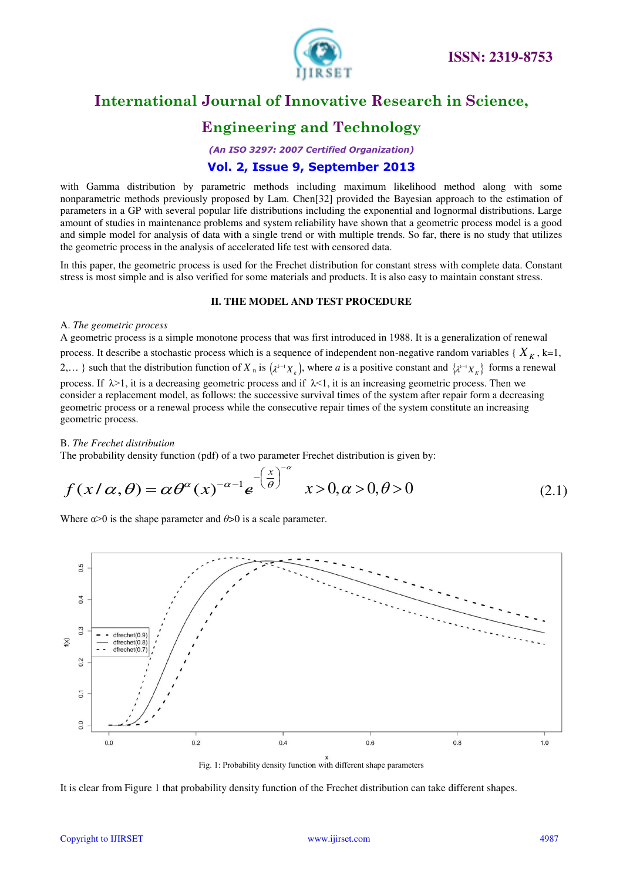

# **Engineering and Technology**

*(An ISO 3297: 2007 Certified Organization)* 

### **Vol. 2, Issue 9, September 2013**

with Gamma distribution by parametric methods including maximum likelihood method along with some nonparametric methods previously proposed by Lam. Chen[32] provided the Bayesian approach to the estimation of parameters in a GP with several popular life distributions including the exponential and lognormal distributions. Large amount of studies in maintenance problems and system reliability have shown that a geometric process model is a good and simple model for analysis of data with a single trend or with multiple trends. So far, there is no study that utilizes the geometric process in the analysis of accelerated life test with censored data.

In this paper, the geometric process is used for the Frechet distribution for constant stress with complete data. Constant stress is most simple and is also verified for some materials and products. It is also easy to maintain constant stress.

#### **II. THE MODEL AND TEST PROCEDURE**

#### A. *The geometric process*

A geometric process is a simple monotone process that was first introduced in 1988. It is a generalization of renewal process. It describe a stochastic process which is a sequence of independent non-negative random variables  $\{X_K, k=1,$ 2,... } such that the distribution function of  $X_n$  is  $(\lambda^{k-1}X_k)$ , where *a* is a positive constant and  $\{\lambda^{k-1}X_k\}$  forms a renewal process. If  $\lambda > 1$ , it is a decreasing geometric process and if  $\lambda < 1$ , it is an increasing geometric process. Then we consider a replacement model, as follows: the successive survival times of the system after repair form a decreasing geometric process or a renewal process while the consecutive repair times of the system constitute an increasing geometric process.

#### B. *The Frechet distribution*

The probability density function (pdf) of a two parameter Frechet distribution is given by:

$$
f(x/\alpha,\theta) = \alpha \theta^{\alpha}(x)^{-\alpha-1} e^{-\left(\frac{x}{\theta}\right)^{-\alpha}} \quad x > 0, \alpha > 0, \theta > 0 \tag{2.1}
$$

Where  $\alpha$  > 0 is the shape parameter and  $\theta$  > 0 is a scale parameter.



Fig. 1: Probability density function with different shape parameters

It is clear from Figure 1 that probability density function of the Frechet distribution can take different shapes.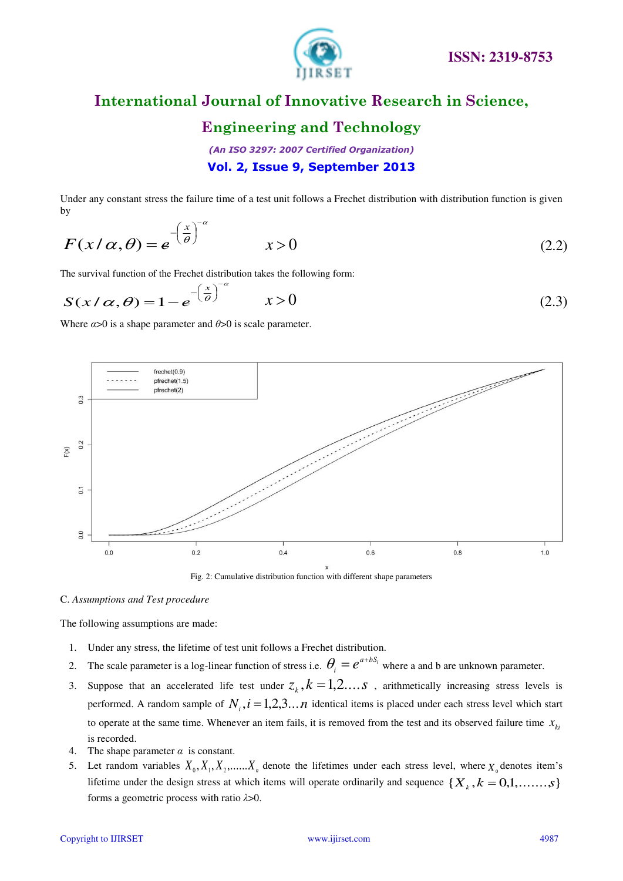

### **Engineering and Technology**

*(An ISO 3297: 2007 Certified Organization)*  **Vol. 2, Issue 9, September 2013**

Under any constant stress the failure time of a test unit follows a Frechet distribution with distribution function is given by

$$
F(x/\alpha, \theta) = e^{-\left(\frac{x}{\theta}\right)^{-\alpha}} \qquad x > 0 \tag{2.2}
$$

The survival function of the Frechet distribution takes the following form:

α

$$
S(x/\alpha, \theta) = 1 - e^{-\left(\frac{x}{\theta}\right)^{-\alpha}} \qquad x > 0 \tag{2.3}
$$

Where  $\alpha$ >0 is a shape parameter and  $\theta$ >0 is scale parameter.



Fig. 2: Cumulative distribution function with different shape parameters

#### C. *Assumptions and Test procedure*

The following assumptions are made:

- 1. Under any stress, the lifetime of test unit follows a Frechet distribution.
- 2. The scale parameter is a log-linear function of stress i.e.  $\theta_i = e^{a + bS_i}$  where a and b are unknown parameter.
- 3. Suppose that an accelerated life test under  $z_k$ ,  $k = 1, 2, \ldots$  , arithmetically increasing stress levels is performed. A random sample of  $N_i$ ,  $i = 1,2,3...n$  identical items is placed under each stress level which start to operate at the same time. Whenever an item fails, it is removed from the test and its observed failure time  $x_{ki}$ is recorded.
- 4. The shape parameter  $\alpha$  is constant.
- 5. Let random variables  $X_0, X_1, X_2, \dots, X_n$  denote the lifetimes under each stress level, where  $X_0$  denotes item's lifetime under the design stress at which items will operate ordinarily and sequence  $\{X_k, k = 0,1, \ldots, s\}$ forms a geometric process with ratio *λ*>0.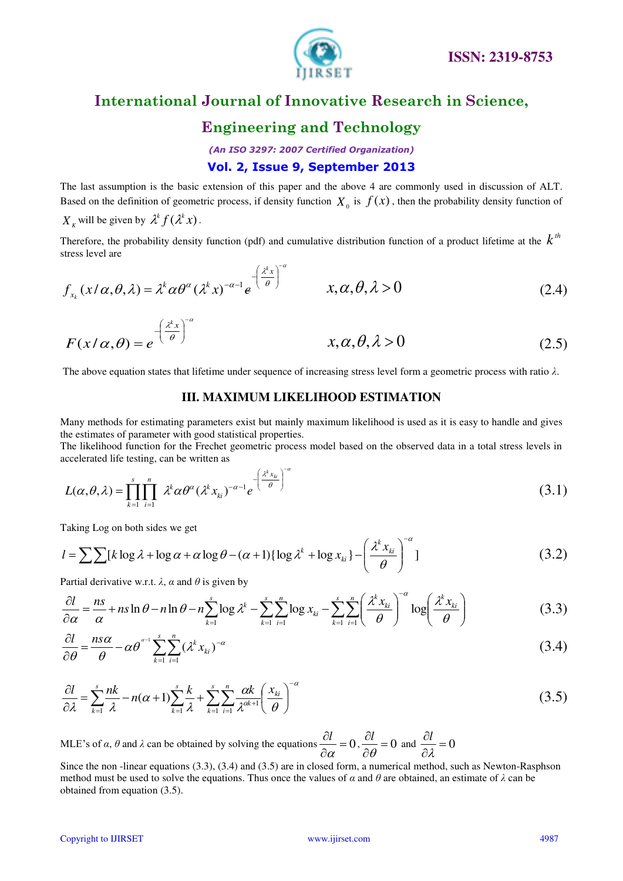

### **Engineering and Technology**

*(An ISO 3297: 2007 Certified Organization)*  **Vol. 2, Issue 9, September 2013**

The last assumption is the basic extension of this paper and the above 4 are commonly used in discussion of ALT. Based on the definition of geometric process, if density function  $X_0$  is  $f(x)$ , then the probability density function of

 $X_k$  will be given by  $\lambda^k f(\lambda^k x)$ .

Therefore, the probability density function (pdf) and cumulative distribution function of a product lifetime at the  $k<sup>th</sup>$ stress level are

$$
f_{x_k}(x/\alpha, \theta, \lambda) = \lambda^k \alpha \theta^{\alpha} (\lambda^k x)^{-\alpha - 1} e^{-\left(\frac{\lambda^k x}{\theta}\right)^{-\alpha}} \qquad x, \alpha, \theta, \lambda > 0
$$
 (2.4)

$$
F(x/\alpha, \theta) = e^{-\left(\frac{\lambda^k x}{\theta}\right)^{-\alpha}} \qquad x, \alpha, \theta, \lambda > 0 \qquad (2.5)
$$

The above equation states that lifetime under sequence of increasing stress level form a geometric process with ratio *λ*.

#### **III. MAXIMUM LIKELIHOOD ESTIMATION**

Many methods for estimating parameters exist but mainly maximum likelihood is used as it is easy to handle and gives the estimates of parameter with good statistical properties.

The likelihood function for the Frechet geometric process model based on the observed data in a total stress levels in accelerated life testing, can be written as

$$
L(\alpha, \theta, \lambda) = \prod_{k=1}^{s} \prod_{i=1}^{n} \lambda^k \alpha \theta^{\alpha} (\lambda^k x_{ki})^{-\alpha - 1} e^{-\left(\frac{\lambda^k x_{ki}}{\theta}\right)^{-\alpha}}
$$
(3.1)

Taking Log on both sides we get

$$
l = \sum \sum [k \log \lambda + \log \alpha + \alpha \log \theta - (\alpha + 1) \{ \log \lambda^k + \log x_{ki} \} - \left( \frac{\lambda^k x_{ki}}{\theta} \right)^{-\alpha} \} \tag{3.2}
$$

Partial derivative w.r.t.  $\lambda$ ,  $\alpha$  and  $\theta$  is given by

$$
\frac{\partial l}{\partial \alpha} = \frac{ns}{\alpha} + ns \ln \theta - n \ln \theta - n \sum_{k=1}^{s} \log \lambda^{k} - \sum_{k=1}^{s} \sum_{i=1}^{n} \log x_{ki} - \sum_{k=1}^{s} \sum_{i=1}^{n} \left( \frac{\lambda^{k} x_{ki}}{\theta} \right)^{-\alpha} \log \left( \frac{\lambda^{k} x_{ki}}{\theta} \right)
$$
(3.3)

$$
\frac{\partial l}{\partial \theta} = \frac{n s \alpha}{\theta} - \alpha \theta^{\alpha-1} \sum_{k=1}^{s} \sum_{i=1}^{n} (\lambda^k x_{ki})^{-\alpha}
$$
 (3.4)

$$
\frac{\partial l}{\partial \lambda} = \sum_{k=1}^{s} \frac{nk}{\lambda} - n(\alpha+1) \sum_{k=1}^{s} \frac{k}{\lambda} + \sum_{k=1}^{s} \sum_{i=1}^{n} \frac{\alpha k}{\lambda^{\alpha+1}} \left(\frac{x_{ki}}{\theta}\right)^{-\alpha}
$$
(3.5)

MLE's of  $\alpha$ ,  $\theta$  and  $\lambda$  can be obtained by solving the equations  $\frac{\partial U}{\partial \theta} = 0$  $\hat{o}$  $\partial$  $\alpha$  $\frac{dI}{dt} = 0$ ,  $\frac{\partial I}{\partial \theta} = 0$  $\hat{o}$  $\hat{o}$  $\theta$  $\frac{d}{d}$  = 0 and  $\frac{\partial l}{\partial x}$  = 0  $\hat{o}$  $\partial$  $\lambda$ *l*

Since the non -linear equations (3.3), (3.4) and (3.5) are in closed form, a numerical method, such as Newton-Rasphson method must be used to solve the equations. Thus once the values of *α* and *θ* are obtained, an estimate of *λ* can be obtained from equation (3.5).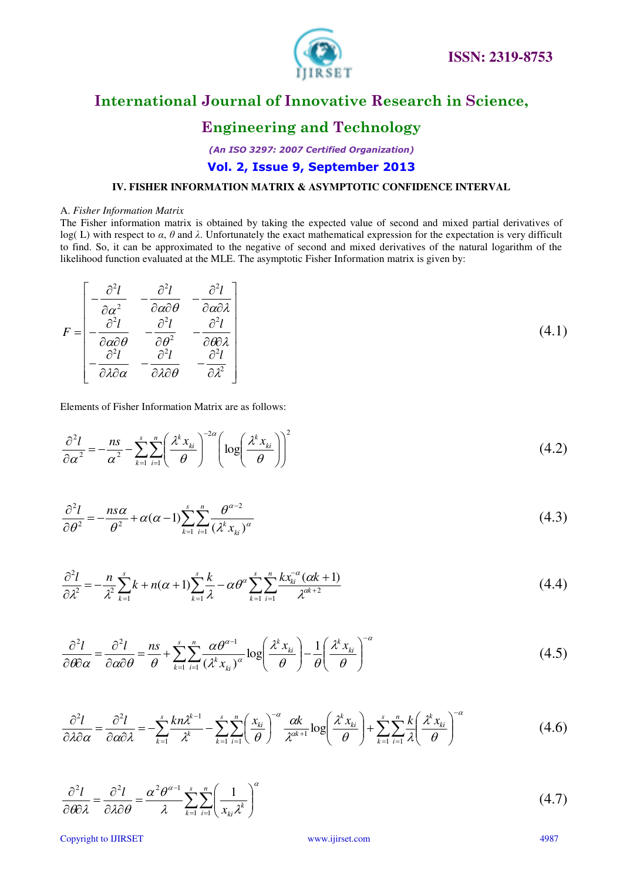

### **Engineering and Technology**

*(An ISO 3297: 2007 Certified Organization)* 

### **Vol. 2, Issue 9, September 2013**

#### **IV. FISHER INFORMATION MATRIX & ASYMPTOTIC CONFIDENCE INTERVAL**

#### A. *Fisher Information Matrix*

The Fisher information matrix is obtained by taking the expected value of second and mixed partial derivatives of log( L) with respect to *α*, *θ* and *λ*. Unfortunately the exact mathematical expression for the expectation is very difficult to find. So, it can be approximated to the negative of second and mixed derivatives of the natural logarithm of the likelihood function evaluated at the MLE. The asymptotic Fisher Information matrix is given by:

$$
F = \begin{bmatrix} -\frac{\partial^2 l}{\partial \alpha^2} & -\frac{\partial^2 l}{\partial \alpha \partial \theta} & -\frac{\partial^2 l}{\partial \alpha \partial \lambda} \\ -\frac{\partial^2 l}{\partial \alpha \partial \theta} & -\frac{\partial^2 l}{\partial \theta^2} & -\frac{\partial^2 l}{\partial \theta \partial \lambda} \\ -\frac{\partial^2 l}{\partial \lambda \partial \alpha} & -\frac{\partial^2 l}{\partial \lambda \partial \theta} & -\frac{\partial^2 l}{\partial \lambda^2} \end{bmatrix}
$$
(4.1)

Elements of Fisher Information Matrix are as follows:

$$
\frac{\partial^2 l}{\partial \alpha^2} = -\frac{ns}{\alpha^2} - \sum_{k=1}^s \sum_{i=1}^n \left( \frac{\lambda^k x_{ki}}{\theta} \right)^{-2\alpha} \left( \log \left( \frac{\lambda^k x_{ki}}{\theta} \right) \right)^2 \tag{4.2}
$$

$$
\frac{\partial^2 l}{\partial \theta^2} = -\frac{ns\alpha}{\theta^2} + \alpha(\alpha - 1) \sum_{k=1}^s \sum_{i=1}^n \frac{\theta^{\alpha - 2}}{(\lambda^k x_{ki})^\alpha}
$$
(4.3)

$$
\frac{\partial^2 l}{\partial \lambda^2} = -\frac{n}{\lambda^2} \sum_{k=1}^s k + n(\alpha+1) \sum_{k=1}^s \frac{k}{\lambda} - \alpha \theta^\alpha \sum_{k=1}^s \sum_{i=1}^n \frac{k x_{ki}^{-\alpha} (\alpha k + 1)}{\lambda^{\alpha k + 2}}
$$
(4.4)

$$
\frac{\partial^2 l}{\partial \theta \partial \alpha} = \frac{\partial^2 l}{\partial \alpha \partial \theta} = \frac{ns}{\theta} + \sum_{k=1}^s \sum_{i=1}^n \frac{\alpha \theta^{\alpha-1}}{(\lambda^k x_{ki})^\alpha} \log \left( \frac{\lambda^k x_{ki}}{\theta} \right) - \frac{1}{\theta} \left( \frac{\lambda^k x_{ki}}{\theta} \right)^{-\alpha}
$$
(4.5)

$$
\frac{\partial^2 l}{\partial \lambda \partial \alpha} = \frac{\partial^2 l}{\partial \alpha \partial \lambda} = -\sum_{k=1}^s \frac{k n \lambda^{k-1}}{\lambda^k} - \sum_{k=1}^s \sum_{i=1}^n \left(\frac{x_{ki}}{\theta}\right)^{-\alpha} \frac{\alpha k}{\lambda^{\alpha k+1}} \log\left(\frac{\lambda^k x_{ki}}{\theta}\right) + \sum_{k=1}^s \sum_{i=1}^n \frac{k}{\lambda} \left(\frac{\lambda^k x_{ki}}{\theta}\right)^{-\alpha} \tag{4.6}
$$

$$
\frac{\partial^2 l}{\partial \theta \partial \lambda} = \frac{\partial^2 l}{\partial \lambda \partial \theta} = \frac{\alpha^2 \theta^{\alpha - 1}}{\lambda} \sum_{k=1}^s \sum_{i=1}^n \left( \frac{1}{x_{ki} \lambda^k} \right)^{\alpha}
$$
(4.7)

Copyright to IJIRSET www.ijirset.com 4987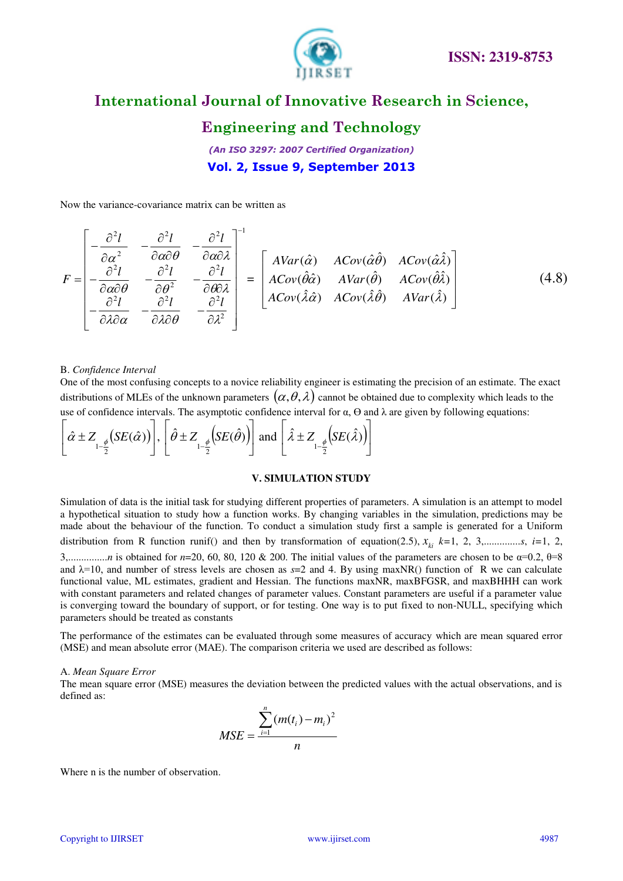

### **Engineering and Technology**

*(An ISO 3297: 2007 Certified Organization)*  **Vol. 2, Issue 9, September 2013**

Now the variance-covariance matrix can be written as

$$
F = \begin{bmatrix} -\frac{\partial^2 l}{\partial \alpha^2} & -\frac{\partial^2 l}{\partial \alpha \partial \theta} & -\frac{\partial^2 l}{\partial \alpha \partial \lambda} \\ -\frac{\partial^2 l}{\partial \alpha \partial \theta} & -\frac{\partial^2 l}{\partial \theta^2} & -\frac{\partial^2 l}{\partial \theta \partial \lambda} \\ -\frac{\partial^2 l}{\partial \lambda \partial \alpha} & -\frac{\partial^2 l}{\partial \lambda \partial \theta} & -\frac{\partial^2 l}{\partial \lambda^2} \end{bmatrix} = \begin{bmatrix} AVar(\hat{\alpha}) & ACov(\hat{\alpha}\hat{\theta}) & ACov(\hat{\alpha}\hat{\lambda}) \\ ACov(\hat{\theta}\hat{\alpha}) & AVar(\hat{\theta}) & ACov(\hat{\theta}\hat{\lambda}) \\ ACov(\hat{\lambda}\hat{\alpha}) & ACov(\hat{\lambda}\hat{\theta}) & AVar(\hat{\lambda}) \end{bmatrix}
$$
(4.8)

#### B. *Confidence Interval*

One of the most confusing concepts to a novice reliability engineer is estimating the precision of an estimate. The exact distributions of MLEs of the unknown parameters  $(\alpha, \theta, \lambda)$  cannot be obtained due to complexity which leads to the use of confidence intervals. The asymptotic confidence interval for  $\alpha$ ,  $\Theta$  and  $\lambda$  are given by following equations:

$$
\left[\hat{\alpha} \pm Z_{1-\frac{\phi}{2}}(SE(\hat{\alpha}))\right], \left[\hat{\theta} \pm Z_{1-\frac{\phi}{2}}(SE(\hat{\theta}))\right] \text{ and } \left[\hat{\lambda} \pm Z_{1-\frac{\phi}{2}}(SE(\hat{\lambda}))\right]
$$

#### **V. SIMULATION STUDY**

Simulation of data is the initial task for studying different properties of parameters. A simulation is an attempt to model a hypothetical situation to study how a function works. By changing variables in the simulation, predictions may be made about the behaviour of the function. To conduct a simulation study first a sample is generated for a Uniform distribution from R function runif() and then by transformation of equation(2.5),  $x_{ki}$   $k=1, 2, 3, \ldots, 1, i=1, 2,$ 3,...............*n* is obtained for *n*=20, 60, 80, 120 & 200. The initial values of the parameters are chosen to be α=0.2, θ=8 and  $\lambda=10$ , and number of stress levels are chosen as  $s=2$  and 4. By using maxNR() function of R we can calculate functional value, ML estimates, gradient and Hessian. The functions maxNR, maxBFGSR, and maxBHHH can work with constant parameters and related changes of parameter values. Constant parameters are useful if a parameter value is converging toward the boundary of support, or for testing. One way is to put fixed to non-NULL, specifying which parameters should be treated as constants

The performance of the estimates can be evaluated through some measures of accuracy which are mean squared error (MSE) and mean absolute error (MAE). The comparison criteria we used are described as follows:

#### A. *Mean Square Error*

The mean square error (MSE) measures the deviation between the predicted values with the actual observations, and is defined as:

$$
MSE = \frac{\sum_{i=1}^{n} (m(t_i) - m_i)^2}{n}
$$

Where n is the number of observation.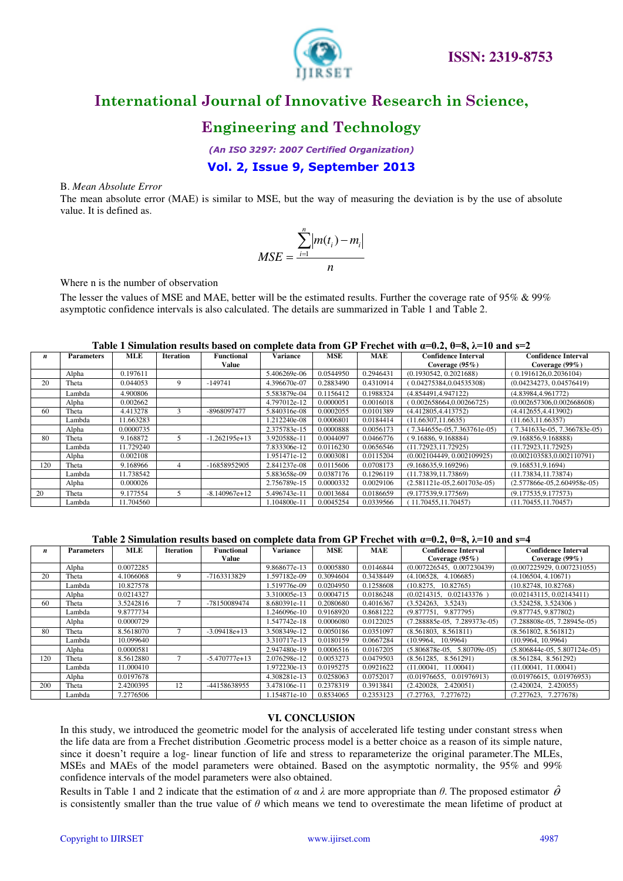

### **Engineering and Technology**

*(An ISO 3297: 2007 Certified Organization)* 

### **Vol. 2, Issue 9, September 2013**

#### B. *Mean Absolute Error*

The mean absolute error (MAE) is similar to MSE, but the way of measuring the deviation is by the use of absolute value. It is defined as.

$$
MSE = \frac{\sum_{i=1}^{n} |m(t_i) - m_i|}{n}
$$

Where n is the number of observation

The lesser the values of MSE and MAE, better will be the estimated results. Further the coverage rate of 95% & 99% asymptotic confidence intervals is also calculated. The details are summarized in Table 1 and Table 2.

#### **Table 1 Simulation results based on complete data from GP Frechet with α=0.2, θ=8, λ=10 and s=2**

| n   | <b>Parameters</b> | <b>MLE</b> | <b>Iteration</b> | <b>Functional</b> | <b>Variance</b> | <b>MSE</b> | <b>MAE</b> | <b>Confidence Interval</b>    | <b>Confidence Interval</b>     |
|-----|-------------------|------------|------------------|-------------------|-----------------|------------|------------|-------------------------------|--------------------------------|
|     |                   |            |                  | Value             |                 |            |            | Coverage $(95\%)$             | Coverage $(99\%)$              |
|     | Alpha             | 0.197611   |                  |                   | 5.406269e-06    | 0.0544950  | 0.2946431  | (0.1930542, 0.2021688)        | (0.1916126, 0.2036104)         |
| 20  | Theta             | 0.044053   | 9                | $-149741$         | 4.396670e-07    | 0.2883490  | 0.4310914  | (0.04275384, 0.04535308)      | (0.04234273, 0.04576419)       |
|     | Lambda            | 4.900806   |                  |                   | 5.583879e-04    | 0.1156412  | 0.1988324  | (4.854491, 4.947122)          | (4.83984.4.961772)             |
|     | Alpha             | 0.002662   |                  |                   | 4.797012e-12    | 0.0000051  | 0.0016018  | (0.002658664, 0.00266725)     | (0.002657306, 0.002668608)     |
| 60  | Theta             | 4.413278   |                  | -8968097477       | 5.840316e-08    | 0.0002055  | 0.0101389  | (4.412805, 4.413752)          | (4.412655, 4.413902)           |
|     | Lambda            | 11.663283  |                  |                   | 1.212240e-08    | 0.0006801  | 0.0184414  | (11.66307.11.6635)            | (11.663.11.66357)              |
|     | Alpha             | 0.0000735  |                  |                   | 2.375783e-15    | 0.0000888  | 0.0056173  | 7.344655e-05.7.363761e-05)    | $(7.341633e-05, 7.366783e-05)$ |
| 80  | Theta             | 9.168872   |                  | $-1.262195e+13$   | 3.920588e-11    | 0.0044097  | 0.0466776  | (9.16886, 9.168884)           | (9.168856.9.168888)            |
|     | Lambda            | 11.729240  |                  |                   | 7.833306e-12    | 0.0116230  | 0.0656546  | (11.72923.11.72925)           | (11.72923, 11.72925)           |
|     | Alpha             | 0.002108   |                  |                   | 1.951471e-12    | 0.0003081  | 0.0115204  | (0.002104449, 0.002109925)    | (0.002103583, 0.002110791)     |
| 120 | Theta             | 9.168966   |                  | -16858952905      | 2.841237e-08    | 0.0115606  | 0.0708173  | (9.168635, 9.169296)          | (9.168531, 9.1694)             |
|     | Lambda            | 11.738542  |                  |                   | 5.883658e-09    | 0.0387176  | 0.1296119  | (11.73839, 11.73869)          | (11.73834, 11.73874)           |
|     | Alpha             | 0.000026   |                  |                   | 2.756789e-15    | 0.0000332  | 0.0029106  | $(2.581121e-05,2.601703e-05)$ | $(2.577866e-05, 2.604958e-05)$ |
| 20  | Theta             | 9.177554   |                  | $-8.140967e+12$   | 5.496743e-11    | 0.0013684  | 0.0186659  | (9.177539.9.177569)           | (9.177535.9.177573)            |
|     | Lambda            | 11.704560  |                  |                   | .104800e-11     | 0.0045254  | 0.0339566  | 11.70455.11.70457)            | (11.70455.11.70457)            |

**Table 2 Simulation results based on complete data from GP Frechet with α=0.2, θ=8, λ=10 and s=4**

| n   | <b>Parameters</b> | <b>MLE</b> | <b>Iteration</b> | Functional      | Variance     | <b>MSE</b> | <b>MAE</b> | <b>Confidence Interval</b>     | <b>Confidence Interval</b>     |
|-----|-------------------|------------|------------------|-----------------|--------------|------------|------------|--------------------------------|--------------------------------|
|     |                   |            |                  | Value           |              |            |            | Coverage $(95\%)$              | Coverage $(99\%)$              |
|     | Alpha             | 0.0072285  |                  |                 | 9.868677e-13 | 0.0005880  | 0.0146844  | (0.007226545, 0.007230439)     | (0.007225929, 0.007231055)     |
| 20  | Theta             | 4.1066068  | 9                | -7163313829     | 1.597182e-09 | 0.3094604  | 0.3438449  | (4.106528, 4.106685)           | (4.106504, 4.10671)            |
|     | Lambda            | 10.827578  |                  |                 | 1.519776e-09 | 0.0204950  | 0.1258608  | (10.8275, 10.82765)            | (10.82748, 10.82768)           |
|     | Alpha             | 0.0214327  |                  |                 | 3.310005e-13 | 0.0004715  | 0.0186248  | (0.0214315, 0.02143376)        | (0.02143115, 0.02143411)       |
| 60  | Theta             | 3.5242816  |                  | -78150089474    | 8.680391e-11 | 0.2080680  | 0.4016367  | (3.524263, 3.5243)             | (3.524258, 3.524306)           |
|     | Lambda            | 9.8777734  |                  |                 | 1.246096e-10 | 0.9168920  | 0.8681222  | (9.877751, 9.877795)           | (9.877745, 9.877802)           |
|     | Alpha             | 0.0000729  |                  |                 | 1.547742e-18 | 0.0006080  | 0.0122025  | $(7.288885e-05, 7.289373e-05)$ | $(7.288808e-05, 7.28945e-05)$  |
| 80  | Theta             | 8.5618070  |                  | $-3.09418e+13$  | 3.508349e-12 | 0.0050186  | 0.0351097  | (8.561803, 8.561811)           | (8.561802, 8.561812)           |
|     | Lambda            | 10.099640  |                  |                 | 3.310717e-13 | 0.0180159  | 0.0667284  | (10.9964, 10.9964)             | (10.9964, 10.9964)             |
|     | Alpha             | 0.0000581  |                  |                 | 2.947480e-19 | 0.0006516  | 0.0167205  | $(5.806878e-05, 5.80709e-05)$  | $(5.806844e-05, 5.807124e-05)$ |
| 120 | Theta             | 8.5612880  |                  | $-5.470777e+13$ | 2.076298e-12 | 0.0053273  | 0.0479503  | (8.561285, 8.561291)           | (8.561284, 8.561292)           |
|     | Lambda            | 11.000410  |                  |                 | 1.972230e-13 | 0.0195275  | 0.0921622  | (11.00041, 11.00041)           | (11.00041, 11.00041)           |
|     | Alpha             | 0.0197678  |                  |                 | 4.308281e-13 | 0.0258063  | 0.0752017  | (0.01976655, 0.01976913)       | (0.01976615, 0.01976953)       |
| 200 | Theta             | 2.4200395  | 12               | -44158638955    | 3.478106e-11 | 0.2378319  | 0.3913841  | (2.420028, 2.420051)           | (2.420024, 2.420055)           |
|     | Lambda            | 7.2776506  |                  |                 | 1.154871e-10 | 0.8534065  | 0.2353123  | (7.27763, 7.277672)            | (7.277623, 7.277678)           |

#### **VI. CONCLUSION**

In this study, we introduced the geometric model for the analysis of accelerated life testing under constant stress when the life data are from a Frechet distribution .Geometric process model is a better choice as a reason of its simple nature, since it doesn't require a log- linear function of life and stress to reparameterize the original parameter.The MLEs, MSEs and MAEs of the model parameters were obtained. Based on the asymptotic normality, the 95% and 99% confidence intervals of the model parameters were also obtained.

Results in Table 1 and 2 indicate that the estimation of  $\alpha$  and  $\lambda$  are more appropriate than  $\theta$ . The proposed estimator  $\hat{\theta}$ is consistently smaller than the true value of  $\theta$  which means we tend to overestimate the mean lifetime of product at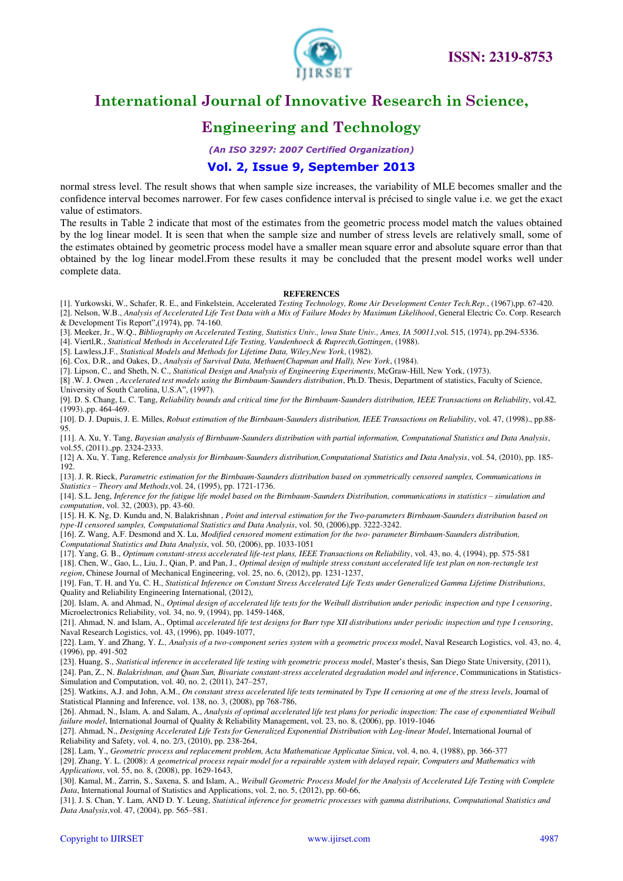

# **Engineering and Technology**

*(An ISO 3297: 2007 Certified Organization)* 

### **Vol. 2, Issue 9, September 2013**

normal stress level. The result shows that when sample size increases, the variability of MLE becomes smaller and the confidence interval becomes narrower. For few cases confidence interval is précised to single value i.e. we get the exact value of estimators.

The results in Table 2 indicate that most of the estimates from the geometric process model match the values obtained by the log linear model. It is seen that when the sample size and number of stress levels are relatively small, some of the estimates obtained by geometric process model have a smaller mean square error and absolute square error than that obtained by the log linear model.From these results it may be concluded that the present model works well under complete data.

#### **REFERENCES**

[1]. Yurkowski, W., Schafer, R. E., and Finkelstein, Accelerated *Testing Technology, Rome Air Development Center Tech.Rep.*, (1967),pp. 67-420. [2]. Nelson, W.B., *Analysis of Accelerated Life Test Data with a Mix of Failure Modes by Maximum Likelihood*, General Electric Co. Corp. Research & Development Tis Report",(1974), pp. 74-160.

[3]. Meeker, Jr., W.Q., *Bibliography on Accelerated Testing, Statistics Univ., lowa State Univ., Ames, IA 50011*,vol. 515, (1974), pp.294-5336.

[4]. Viertl,R., *Statistical Methods in Accelerated Life Testing, Vandenhoeck & Ruprecth,Gottingen*, (1988).

[5]. Lawless,J.F., *Statistical Models and Methods for Lifetime Data, Wiley,New York*, (1982).

[6]. Cox, D.R., and Oakes, D., *Analysis of Survival Data, Methuen(Chapman and Hall), New York*, (1984).

[7]. Lipson, C., and Sheth, N. C., *Statistical Design and Analysis of Engineering Experiments*, McGraw-Hill, New York, (1973).

[8] .W. J. Owen , *Accelerated test models using the Birnbaum-Saunders distribution*, Ph.D. Thesis, Department of statistics, Faculty of Science,

University of South Carolina, U.S.A", (1997).

[9]. D. S. Chang, L. C. Tang, *Reliability bounds and critical time for the Birnbaum-Saunders distribution, IEEE Transactions on Reliability*, vol.42, (1993).,pp. 464-469.

[10]. D. J. Dupuis, J. E. Milles, *Robust estimation of the Birnbaum-Saunders distribution, IEEE Transactions on Reliability*, vol. 47, (1998)., pp.88- 95.

[11]. A. Xu, Y. Tang, *Bayesian analysis of Birnbaum-Saunders distribution with partial information, Computational Statistics and Data Analysis*, vol.55, (2011).,pp. 2324-2333.

[12] A. Xu, Y. Tang, Reference *analysis for Birnbaum-Saunders distribution,Computational Statistics and Data Analysis*, vol. 54, (2010), pp. 185- 192.

[13]. J. R. Rieck, *Parametric estimation for the Birnbaum-Saunders distribution based on symmetrically censored samples, Communications in Statistics – Theory and Methods*,vol. 24, (1995), pp. 1721-1736.

[14]. S.L. Jeng, *Inference for the fatigue life model based on the Birnbaum-Saunders Distribution, communications in statistics – simulation and computation*, vol. 32, (2003), pp. 43-60.

[15]. H. K. Ng, D. Kundu and, N. Balakrishnan , *Point and interval estimation for the Two-parameters Birnbaum-Saunders distribution based on type-II censored samples, Computational Statistics and Data Analysis*, vol. 50, (2006),pp. 3222-3242.

[16]. Z. Wang, A.F. Desmond and X. Lu, *Modified censored moment estimation for the two- parameter Birnbaum-Saunders distribution, Computational Statistics and Data Analysis*, vol. 50, (2006), pp. 1033-1051

[17]. Yang, G. B., *Optimum constant-stress accelerated life-test plans, IEEE Transactions on Reliability*, vol. 43, no. 4, (1994), pp. 575-581

[18]. Chen, W., Gao, L., Liu, J., Qian, P. and Pan, J., *Optimal design of multiple stress constant accelerated life test plan on non-rectangle test region*, Chinese Journal of Mechanical Engineering, vol. 25, no. 6, (2012), pp. 1231-1237,

[19]. Fan, T. H. and Yu, C. H., *Statistical Inference on Constant Stress Accelerated Life Tests under Generalized Gamma Lifetime Distributions*, Quality and Reliability Engineering International, (2012),

[20]. Islam, A. and Ahmad, N., *Optimal design of accelerated life tests for the Weibull distribution under periodic inspection and type I censoring*, Microelectronics Reliability, vol. 34, no. 9, (1994), pp. 1459-1468,

[21]. Ahmad, N. and Islam, A., Optimal *accelerated life test designs for Burr type XII distributions under periodic inspection and type I censoring*, Naval Research Logistics, vol. 43, (1996), pp. 1049-1077,

[22]. Lam, Y. and Zhang, Y*. L., Analysis of a two-component series system with a geometric process model*, Naval Research Logistics, vol. 43, no. 4, (1996), pp. 491-502

[23]. Huang, S., *Statistical inference in accelerated life testing with geometric process model*, Master's thesis, San Diego State University, (2011),

[24]. Pan, Z., N. *Balakrishnan, and Quan Sun, Bivariate constant-stress accelerated degradation model and inference*, Communications in Statistics-Simulation and Computation, vol. 40, no. 2, (2011), 247–257,

[25]. Watkins, A.J. and John, A.M., *On constant stress accelerated life tests terminated by Type II censoring at one of the stress levels*, Journal of Statistical Planning and Inference, vol. 138, no. 3, (2008), pp 768-786,

[26]. Ahmad, N., Islam, A. and Salam, A., *Analysis of optimal accelerated life test plans for periodic inspection: The case of exponentiated Weibull failure model*, International Journal of Quality & Reliability Management, vol. 23, no. 8, (2006), pp. 1019-1046

[27]. Ahmad, N., *Designing Accelerated Life Tests for Generalized Exponential Distribution with Log-linear Model*, International Journal of

Reliability and Safety, vol. 4, no. 2/3, (2010), pp. 238-264, [28]. Lam, Y., *Geometric process and replacement problem, Acta Mathematicae Applicatae Sinica*, vol. 4, no. 4, (1988), pp. 366-377 [29]. Zhang, Y. L. (2008): *A geometrical process repair model for a repairable system with delayed repair, Computers and Mathematics with* 

*Applications*, vol. 55, no. 8, (2008), pp. 1629-1643, [30]. Kamal, M., Zarrin, S., Saxena, S. and Islam, A., *Weibull Geometric Process Model for the Analysis of Accelerated Life Testing with Complete* 

*Data*, International Journal of Statistics and Applications, vol. 2, no. 5, (2012), pp. 60-66,

[31]. J. S. Chan, Y. Lam, AND D. Y. Leung, *Statistical inference for geometric processes with gamma distributions, Computational Statistics and Data Analysis*,vol. 47, (2004), pp. 565–581.